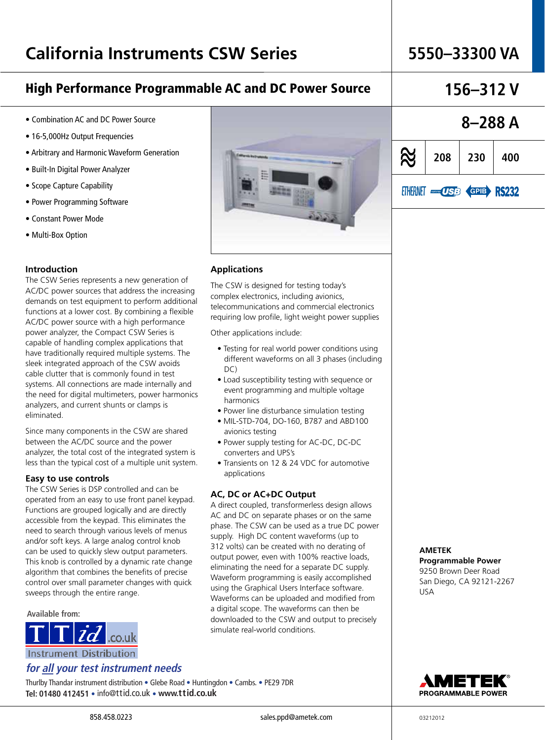## High Performance Programmable AC and DC Power Source **156–312 V**

## • Combination AC and DC Power Source

- 16-5,000Hz Output Frequencies
- Arbitrary and Harmonic Waveform Generation
- Built-In Digital Power Analyzer
- Scope Capture Capability
- Power Programming Software
- Constant Power Mode
- Multi-Box Option

## **Introduction**

The CSW Series represents a new generation of AC/DC power sources that address the increasing demands on test equipment to perform additional functions at a lower cost. By combining a flexible AC/DC power source with a high performance power analyzer, the Compact CSW Series is capable of handling complex applications that have traditionally required multiple systems. The sleek integrated approach of the CSW avoids cable clutter that is commonly found in test systems. All connections are made internally and the need for digital multimeters, power harmonics analyzers, and current shunts or clamps is eliminated.

Since many components in the CSW are shared between the AC/DC source and the power analyzer, the total cost of the integrated system is less than the typical cost of a multiple unit system.

### **Easy to use controls**

The CSW Series is DSP controlled and can be operated from an easy to use front panel keypad. Functions are grouped logically and are directly accessible from the keypad. This eliminates the need to search through various levels of menus and/or soft keys. A large analog control knob can be used to quickly slew output parameters. This knob is controlled by a dynamic rate change algorithm that combines the benefits of precise control over small parameter changes with quick sweeps through the entire range.

## **Available from:**



**Instrument Distribution** 

## **for all your test instrument needs**

Thurlby Thandar instrument distribution • Glebe Road • Huntingdon • Cambs. • PE29 7DR **Tel: 01480 412451** • info@ttid.co.uk • **www.ttid.co.uk**



## **Applications**

The CSW is designed for testing today's complex electronics, including avionics, telecommunications and commercial electronics requiring low profile, light weight power supplies

Other applications include:

- Testing for real world power conditions using different waveforms on all 3 phases (including  $D<sub>C</sub>$
- Load susceptibility testing with sequence or event programming and multiple voltage harmonics
- Power line disturbance simulation testing
- MIL-STD-704, DO-160, B787 and ABD100 avionics testing
- Power supply testing for AC-DC, DC-DC converters and UPS's
- Transients on 12 & 24 VDC for automotive applications

## **AC, DC or AC+DC Output**

A direct coupled, transformerless design allows AC and DC on separate phases or on the same phase. The CSW can be used as a true DC power supply. High DC content waveforms (up to 312 volts) can be created with no derating of output power, even with 100% reactive loads, eliminating the need for a separate DC supply. Waveform programming is easily accomplished using the Graphical Users Interface software. Waveforms can be uploaded and modified from a digital scope. The waveforms can then be downloaded to the CSW and output to precisely simulate real-world conditions.





**AMETEK** 

**Programmable Power**  9250 Brown Deer Road San Diego, CA 92121-2267 USA

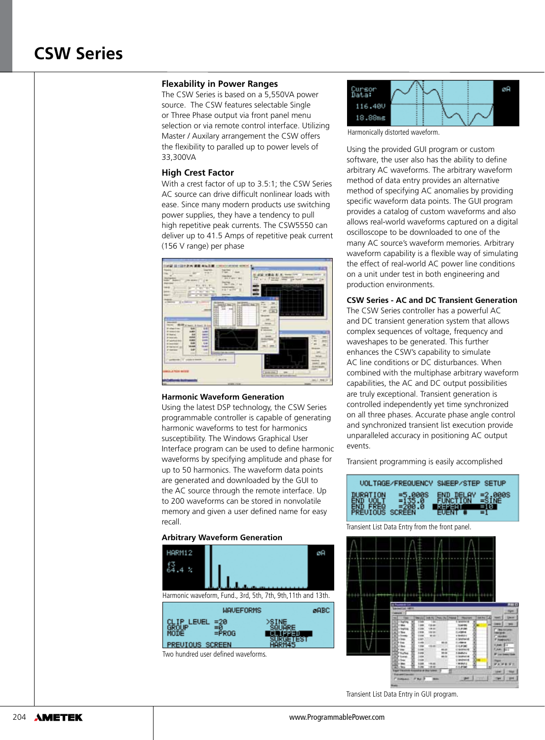## **Flexability in Power Ranges**

The CSW Series is based on a 5,550VA power source. The CSW features selectable Single or Three Phase output via front panel menu selection or via remote control interface. Utilizing Master / Auxilary arrangement the CSW offers the flexibility to paralled up to power levels of 33,300VA

## **High Crest Factor**

With a crest factor of up to 3.5:1; the CSW Series AC source can drive difficult nonlinear loads with ease. Since many modern products use switching power supplies, they have a tendency to pull high repetitive peak currents. The CSW5550 can deliver up to 41.5 Amps of repetitive peak current (156 V range) per phase



### **Harmonic Waveform Generation**

Using the latest DSP technology, the CSW Series programmable controller is capable of generating harmonic waveforms to test for harmonics susceptibility. The Windows Graphical User Interface program can be used to define harmonic waveforms by specifying amplitude and phase for up to 50 harmonics. The waveform data points are generated and downloaded by the GUI to the AC source through the remote interface. Up to 200 waveforms can be stored in nonvolatile memory and given a user defined name for easy recall.

### **Arbitrary Waveform Generation**





Harmonically distorted waveform.

Using the provided GUI program or custom software, the user also has the ability to define arbitrary AC waveforms. The arbitrary waveform method of data entry provides an alternative method of specifying AC anomalies by providing specific waveform data points. The GUI program provides a catalog of custom waveforms and also allows real-world waveforms captured on a digital oscilloscope to be downloaded to one of the many AC source's waveform memories. Arbitrary waveform capability is a flexible way of simulating the effect of real-world AC power line conditions on a unit under test in both engineering and production environments.

## **CSW Series - AC and DC Transient Generation**

The CSW Series controller has a powerful AC and DC transient generation system that allows complex sequences of voltage, frequency and waveshapes to be generated. This further enhances the CSW's capability to simulate AC line conditions or DC disturbances. When combined with the multiphase arbitrary waveform capabilities, the AC and DC output possibilities are truly exceptional. Transient generation is controlled independently yet time synchronized on all three phases. Accurate phase angle control and synchronized transient list execution provide unparalleled accuracy in positioning AC output events.

Transient programming is easily accomplished



Transient List Data Entry from the front panel.



Transient List Data Entry in GUI program.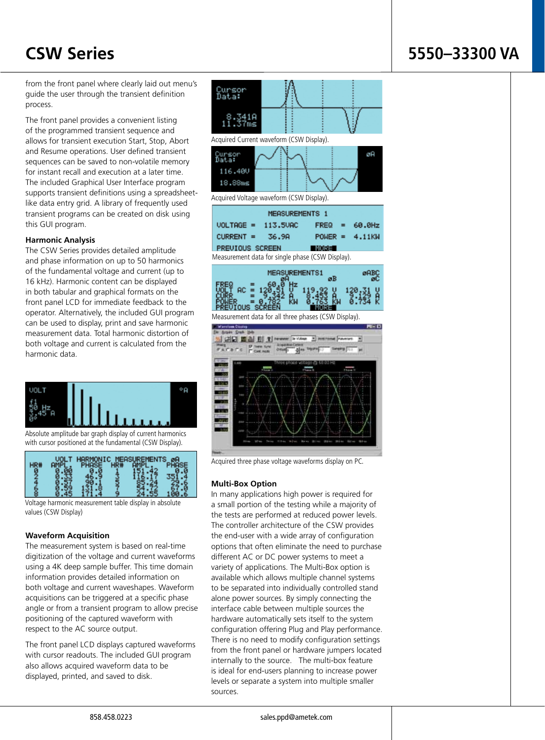## **CSW Series 5550–33300 VA**

from the front panel where clearly laid out menu's guide the user through the transient definition process.

The front panel provides a convenient listing of the programmed transient sequence and allows for transient execution Start, Stop, Abort and Resume operations. User defined transient sequences can be saved to non-volatile memory for instant recall and execution at a later time. The included Graphical User Interface program supports transient definitions using a spreadsheetlike data entry grid. A library of frequently used transient programs can be created on disk using this GUI program.

## **Harmonic Analysis**

The CSW Series provides detailed amplitude and phase information on up to 50 harmonics of the fundamental voltage and current (up to 16 kHz). Harmonic content can be displayed in both tabular and graphical formats on the front panel LCD for immediate feedback to the operator. Alternatively, the included GUI program can be used to display, print and save harmonic measurement data. Total harmonic distortion of both voltage and current is calculated from the harmonic data.



Absolute amplitude bar graph display of current harmonics with cursor positioned at the fundamental (CSW Display).



Voltage harmonic measurement table display in absolute values (CSW Display)

## **Waveform Acquisition**

The measurement system is based on real-time digitization of the voltage and current waveforms using a 4K deep sample buffer. This time domain information provides detailed information on both voltage and current waveshapes. Waveform acquisitions can be triggered at a specific phase angle or from a transient program to allow precise positioning of the captured waveform with respect to the AC source output.

The front panel LCD displays captured waveforms with cursor readouts. The included GUI program also allows acquired waveform data to be displayed, printed, and saved to disk.



Acquired three phase voltage waveforms display on PC.

## **Multi-Box Option**

In many applications high power is required for a small portion of the testing while a majority of the tests are performed at reduced power levels. The controller architecture of the CSW provides the end-user with a wide array of configuration options that often eliminate the need to purchase different AC or DC power systems to meet a variety of applications. The Multi-Box option is available which allows multiple channel systems to be separated into individually controlled stand alone power sources. By simply connecting the interface cable between multiple sources the hardware automatically sets itself to the system configuration offering Plug and Play performance. There is no need to modify configuration settings from the front panel or hardware jumpers located internally to the source. The multi-box feature is ideal for end-users planning to increase power levels or separate a system into multiple smaller sources.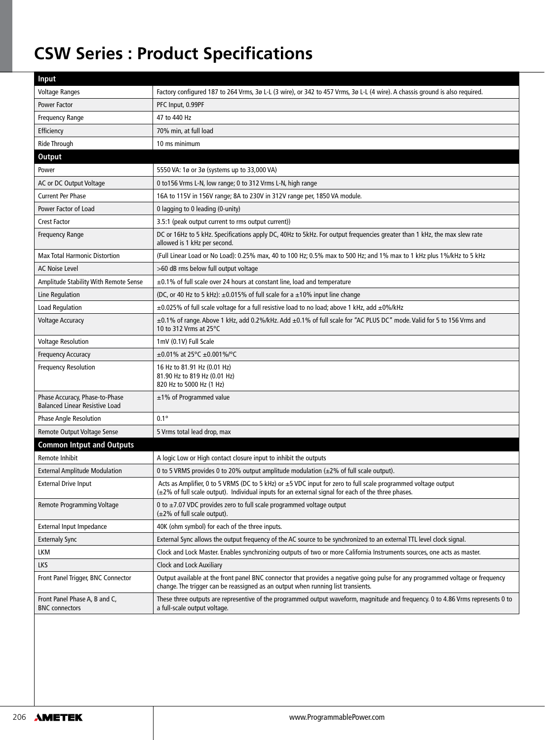## **CSW Series : Product Specifications**

| Input                                                                   |                                                                                                                                                                                                                           |
|-------------------------------------------------------------------------|---------------------------------------------------------------------------------------------------------------------------------------------------------------------------------------------------------------------------|
| <b>Voltage Ranges</b>                                                   | Factory configured 187 to 264 Vrms, 3ø L-L (3 wire), or 342 to 457 Vrms, 3ø L-L (4 wire). A chassis ground is also required.                                                                                              |
| Power Factor                                                            | PFC Input, 0.99PF                                                                                                                                                                                                         |
| Frequency Range                                                         | 47 to 440 Hz                                                                                                                                                                                                              |
| Efficiency                                                              | 70% min, at full load                                                                                                                                                                                                     |
| <b>Ride Through</b>                                                     | 10 ms minimum                                                                                                                                                                                                             |
| <b>Output</b>                                                           |                                                                                                                                                                                                                           |
| Power                                                                   | 5550 VA: 1ø or 3ø (systems up to 33,000 VA)                                                                                                                                                                               |
| AC or DC Output Voltage                                                 | 0 to 156 Vrms L-N, low range; 0 to 312 Vrms L-N, high range                                                                                                                                                               |
| <b>Current Per Phase</b>                                                | 16A to 115V in 156V range; 8A to 230V in 312V range per, 1850 VA module.                                                                                                                                                  |
| Power Factor of Load                                                    | 0 lagging to 0 leading (0-unity)                                                                                                                                                                                          |
| <b>Crest Factor</b>                                                     | 3.5:1 (peak output current to rms output current))                                                                                                                                                                        |
| Frequency Range                                                         | DC or 16Hz to 5 kHz. Specifications apply DC, 40Hz to 5kHz. For output frequencies greater than 1 kHz, the max slew rate<br>allowed is 1 kHz per second.                                                                  |
| <b>Max Total Harmonic Distortion</b>                                    | (Full Linear Load or No Load): 0.25% max, 40 to 100 Hz; 0.5% max to 500 Hz; and 1% max to 1 kHz plus 1%/kHz to 5 kHz                                                                                                      |
| <b>AC Noise Level</b>                                                   | >60 dB rms below full output voltage                                                                                                                                                                                      |
| Amplitude Stability With Remote Sense                                   | ±0.1% of full scale over 24 hours at constant line, load and temperature                                                                                                                                                  |
| Line Regulation                                                         | (DC, or 40 Hz to 5 kHz): $\pm$ 0.015% of full scale for a $\pm$ 10% input line change                                                                                                                                     |
| <b>Load Regulation</b>                                                  | $\pm$ 0.025% of full scale voltage for a full resistive load to no load; above 1 kHz, add $\pm$ 0%/kHz                                                                                                                    |
| <b>Voltage Accuracy</b>                                                 | ±0.1% of range. Above 1 kHz, add 0.2%/kHz. Add ±0.1% of full scale for "AC PLUS DC" mode. Valid for 5 to 156 Vrms and<br>10 to 312 Vrms at 25°C                                                                           |
| <b>Voltage Resolution</b>                                               | 1mV (0.1V) Full Scale                                                                                                                                                                                                     |
| Frequency Accuracy                                                      | $\pm 0.01\%$ at 25°C $\pm 0.001\%$ /°C                                                                                                                                                                                    |
| <b>Frequency Resolution</b>                                             | 16 Hz to 81.91 Hz (0.01 Hz)<br>81.90 Hz to 819 Hz (0.01 Hz)<br>820 Hz to 5000 Hz (1 Hz)                                                                                                                                   |
| Phase Accuracy, Phase-to-Phase<br><b>Balanced Linear Resistive Load</b> | $\pm$ 1% of Programmed value                                                                                                                                                                                              |
| <b>Phase Angle Resolution</b>                                           | $0.1^\circ$                                                                                                                                                                                                               |
| Remote Output Voltage Sense                                             | 5 Vrms total lead drop, max                                                                                                                                                                                               |
| <b>Common Intput and Outputs</b>                                        |                                                                                                                                                                                                                           |
| Remote Inhibit                                                          | A logic Low or High contact closure input to inhibit the outputs                                                                                                                                                          |
| <b>External Amplitude Modulation</b>                                    | 0 to 5 VRMS provides 0 to 20% output amplitude modulation $(\pm 2\%$ of full scale output).                                                                                                                               |
| <b>External Drive Input</b>                                             | Acts as Amplifier, 0 to 5 VRMS (DC to 5 kHz) or ±5 VDC input for zero to full scale programmed voltage output<br>$(\pm 2\%$ of full scale output). Individual inputs for an external signal for each of the three phases. |
| Remote Programming Voltage                                              | 0 to $\pm$ 7.07 VDC provides zero to full scale programmed voltage output<br>$(\pm 2\%$ of full scale output).                                                                                                            |
| External Input Impedance                                                | 40K (ohm symbol) for each of the three inputs.                                                                                                                                                                            |
| <b>Externaly Sync</b>                                                   | External Sync allows the output frequency of the AC source to be synchronized to an external TTL level clock signal.                                                                                                      |
| LKM                                                                     | Clock and Lock Master. Enables synchronizing outputs of two or more California Instruments sources, one acts as master.                                                                                                   |
| <b>LKS</b>                                                              | Clock and Lock Auxiliary                                                                                                                                                                                                  |
| Front Panel Trigger, BNC Connector                                      | Output available at the front panel BNC connector that provides a negative going pulse for any programmed voltage or frequency<br>change. The trigger can be reassigned as an output when running list transients.        |
| Front Panel Phase A, B and C,<br><b>BNC</b> connectors                  | These three outputs are representive of the programmed output waveform, magnitude and frequency. 0 to 4.86 Vrms represents 0 to<br>a full-scale output voltage.                                                           |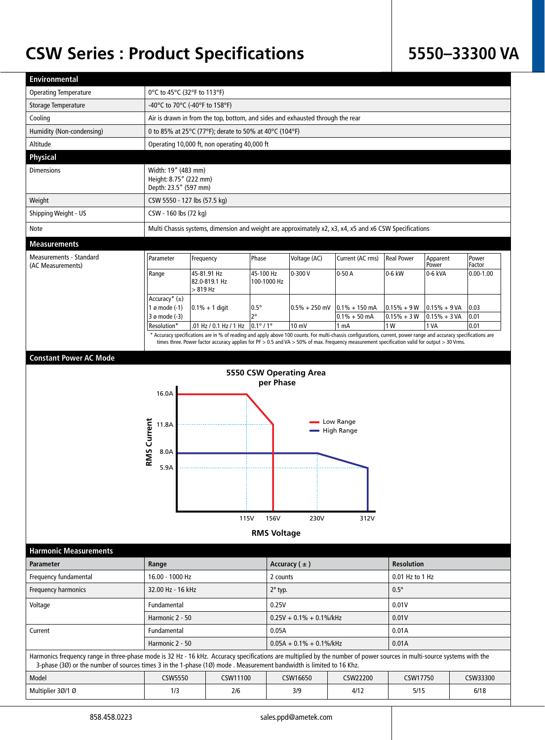## **CSW Series : Product Specifications**

## **5550–33300 VA**

| <b>Environmental</b>                                                                                                                                                                                                                                                                            |                                                                                |                                                                                                                                                                                                                                                                                                                  |                                         |                                 |                                   |                   |                   |                 |  |
|-------------------------------------------------------------------------------------------------------------------------------------------------------------------------------------------------------------------------------------------------------------------------------------------------|--------------------------------------------------------------------------------|------------------------------------------------------------------------------------------------------------------------------------------------------------------------------------------------------------------------------------------------------------------------------------------------------------------|-----------------------------------------|---------------------------------|-----------------------------------|-------------------|-------------------|-----------------|--|
| <b>Operating Temperature</b>                                                                                                                                                                                                                                                                    | 0°C to 45°C (32°F to 113°F)                                                    |                                                                                                                                                                                                                                                                                                                  |                                         |                                 |                                   |                   |                   |                 |  |
| Storage Temperature                                                                                                                                                                                                                                                                             | -40°C to 70°C (-40°F to 158°F)                                                 |                                                                                                                                                                                                                                                                                                                  |                                         |                                 |                                   |                   |                   |                 |  |
| Cooling                                                                                                                                                                                                                                                                                         | Air is drawn in from the top, bottom, and sides and exhausted through the rear |                                                                                                                                                                                                                                                                                                                  |                                         |                                 |                                   |                   |                   |                 |  |
| Humidity (Non-condensing)                                                                                                                                                                                                                                                                       | 0 to 85% at 25°C (77°F); derate to 50% at 40°C (104°F)                         |                                                                                                                                                                                                                                                                                                                  |                                         |                                 |                                   |                   |                   |                 |  |
| Altitude                                                                                                                                                                                                                                                                                        |                                                                                | Operating 10,000 ft, non operating 40,000 ft                                                                                                                                                                                                                                                                     |                                         |                                 |                                   |                   |                   |                 |  |
| <b>Physical</b>                                                                                                                                                                                                                                                                                 |                                                                                |                                                                                                                                                                                                                                                                                                                  |                                         |                                 |                                   |                   |                   |                 |  |
| <b>Dimensions</b>                                                                                                                                                                                                                                                                               | Width: 19" (483 mm)<br>Height: 8.75" (222 mm)<br>Depth: 23.5" (597 mm)         |                                                                                                                                                                                                                                                                                                                  |                                         |                                 |                                   |                   |                   |                 |  |
| Weight                                                                                                                                                                                                                                                                                          | CSW 5550 - 127 lbs (57.5 kg)                                                   |                                                                                                                                                                                                                                                                                                                  |                                         |                                 |                                   |                   |                   |                 |  |
| Shipping Weight - US                                                                                                                                                                                                                                                                            | CSW - 160 lbs (72 kg)                                                          |                                                                                                                                                                                                                                                                                                                  |                                         |                                 |                                   |                   |                   |                 |  |
| Note                                                                                                                                                                                                                                                                                            |                                                                                | Multi Chassis systems, dimension and weight are approximately x2, x3, x4, x5 and x6 CSW Specifications                                                                                                                                                                                                           |                                         |                                 |                                   |                   |                   |                 |  |
| <b>Measurements</b>                                                                                                                                                                                                                                                                             |                                                                                |                                                                                                                                                                                                                                                                                                                  |                                         |                                 |                                   |                   |                   |                 |  |
| Measurements - Standard<br>(AC Measurements)                                                                                                                                                                                                                                                    | Parameter                                                                      | Frequency                                                                                                                                                                                                                                                                                                        | Phase                                   | Voltage (AC)                    | Current (AC rms)                  | <b>Real Power</b> | Apparent<br>Power | Power<br>Factor |  |
|                                                                                                                                                                                                                                                                                                 | Range                                                                          | 45-81.91 Hz<br>82.0-819.1 Hz<br>> 819 Hz                                                                                                                                                                                                                                                                         | 45-100 Hz<br>100-1000 Hz                | $0 - 300V$                      | $0-50A$                           | 0-6 kW            | 0-6 kVA           | $0.00 - 1.00$   |  |
|                                                                                                                                                                                                                                                                                                 | Accuracy* $(\pm)$<br>1 ø mode (-1)                                             | $0.1% + 1$ digit                                                                                                                                                                                                                                                                                                 | $0.5^\circ$                             | $0.5\% + 250$ mV                | $0.1\% + 150$ mA                  | $0.15% + 9W$      | $0.15% + 9VA$     | $ 0.03\rangle$  |  |
|                                                                                                                                                                                                                                                                                                 | 3 ø mode (-3)                                                                  |                                                                                                                                                                                                                                                                                                                  | $2^{\circ}$                             |                                 | $0.1\% + 50$ mA                   | $0.15% + 3 W$     | $0.15% + 3 VA$    | 0.01            |  |
|                                                                                                                                                                                                                                                                                                 | Resolution*                                                                    | .01 Hz / 0.1 Hz / 1 Hz                                                                                                                                                                                                                                                                                           | $0.1^{\circ}$ / 1°                      | 10 mV                           | 1 <sub>mA</sub>                   | 1 W               | 1 VA              | 0.01            |  |
|                                                                                                                                                                                                                                                                                                 |                                                                                | * Accuracy specifications are in % of reading and apply above 100 counts. For multi-chassis configurations, current, power range and accuracy specifications are<br>times three. Power factor accuracy applies for PF > 0.5 and VA > 50% of max. Frequency measurement specification valid for output > 30 Vrms. |                                         |                                 |                                   |                   |                   |                 |  |
| <b>Constant Power AC Mode</b>                                                                                                                                                                                                                                                                   |                                                                                |                                                                                                                                                                                                                                                                                                                  |                                         |                                 |                                   |                   |                   |                 |  |
| <b>Harmonic Measurements</b>                                                                                                                                                                                                                                                                    | 16.0A<br>RMS Current<br>11.8A<br>8.0A<br>5.9A                                  | 115V                                                                                                                                                                                                                                                                                                             | per Phase<br>156V<br><b>RMS Voltage</b> | 5550 CSW Operating Area<br>230V | Low Range<br>- High Range<br>312V |                   |                   |                 |  |
| <b>Parameter</b>                                                                                                                                                                                                                                                                                | Range                                                                          |                                                                                                                                                                                                                                                                                                                  |                                         | Accuracy $( \pm )$              |                                   |                   | <b>Resolution</b> |                 |  |
| Frequency fundamental                                                                                                                                                                                                                                                                           | 16.00 - 1000 Hz                                                                |                                                                                                                                                                                                                                                                                                                  |                                         | 2 counts                        |                                   |                   | 0.01 Hz to 1 Hz   |                 |  |
| Frequency harmonics                                                                                                                                                                                                                                                                             | 32.00 Hz - 16 kHz                                                              |                                                                                                                                                                                                                                                                                                                  |                                         | $2^{\circ}$ typ.                |                                   | $0.5^\circ$       |                   |                 |  |
| Voltage                                                                                                                                                                                                                                                                                         | Fundamental                                                                    |                                                                                                                                                                                                                                                                                                                  |                                         | 0.25V                           |                                   | 0.01V             |                   |                 |  |
|                                                                                                                                                                                                                                                                                                 | Harmonic 2 - 50                                                                |                                                                                                                                                                                                                                                                                                                  |                                         | $0.25V + 0.1% + 0.1%$ /kHz      |                                   |                   | 0.01V             |                 |  |
| Current                                                                                                                                                                                                                                                                                         | Fundamental                                                                    |                                                                                                                                                                                                                                                                                                                  |                                         | 0.05A                           |                                   |                   | 0.01A             |                 |  |
|                                                                                                                                                                                                                                                                                                 | Harmonic 2 - 50                                                                |                                                                                                                                                                                                                                                                                                                  |                                         | $0.05A + 0.1% + 0.1%$ /kHz      |                                   |                   | 0.01A             |                 |  |
| Harmonics frequency range in three-phase mode is 32 Hz - 16 kHz. Accuracy specifications are multiplied by the number of power sources in multi-source systems with the<br>3-phase (30) or the number of sources times 3 in the 1-phase (10) mode . Measurement bandwidth is limited to 16 Khz. |                                                                                |                                                                                                                                                                                                                                                                                                                  |                                         |                                 |                                   |                   |                   |                 |  |
| Model                                                                                                                                                                                                                                                                                           | <b>CSW5550</b>                                                                 | CSW11100                                                                                                                                                                                                                                                                                                         |                                         | CSW16650                        | CSW22200                          | CSW17750          |                   | CSW33300        |  |
| Multiplier 30/1 0                                                                                                                                                                                                                                                                               | 1/3                                                                            | 2/6                                                                                                                                                                                                                                                                                                              |                                         | 3/9                             | 4/12                              | 5/15              |                   | 6/18            |  |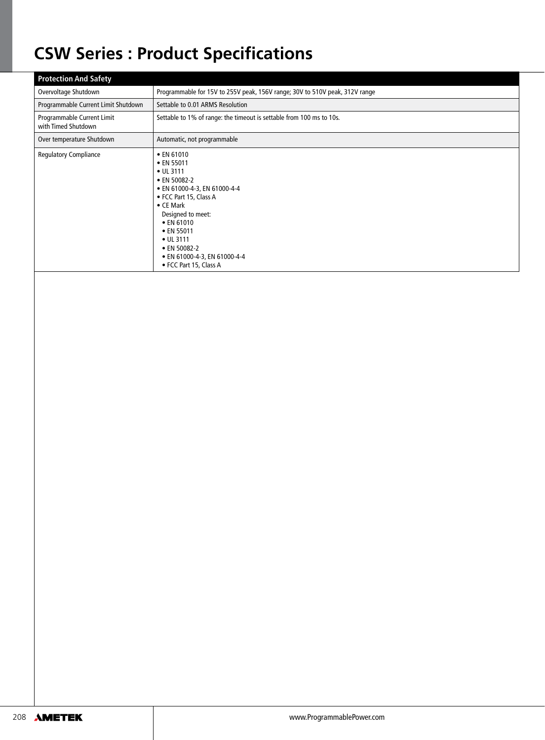## **CSW Series : Product Specifications**

| <b>Protection And Safety</b>                      |                                                                                                                                                                                                                                                                                      |  |  |
|---------------------------------------------------|--------------------------------------------------------------------------------------------------------------------------------------------------------------------------------------------------------------------------------------------------------------------------------------|--|--|
| Overvoltage Shutdown                              | Programmable for 15V to 255V peak, 156V range; 30V to 510V peak, 312V range                                                                                                                                                                                                          |  |  |
| Programmable Current Limit Shutdown               | Settable to 0.01 ARMS Resolution                                                                                                                                                                                                                                                     |  |  |
| Programmable Current Limit<br>with Timed Shutdown | Settable to 1% of range: the timeout is settable from 100 ms to 10s.                                                                                                                                                                                                                 |  |  |
| Over temperature Shutdown                         | Automatic, not programmable                                                                                                                                                                                                                                                          |  |  |
| <b>Regulatory Compliance</b>                      | • EN 61010<br>• EN 55011<br>• UL 3111<br>• EN 50082-2<br>• EN 61000-4-3, EN 61000-4-4<br>• FCC Part 15, Class A<br>$\bullet$ CE Mark<br>Designed to meet:<br>$\bullet$ EN 61010<br>• EN 55011<br>• UL 3111<br>• EN 50082-2<br>• EN 61000-4-3, EN 61000-4-4<br>• FCC Part 15, Class A |  |  |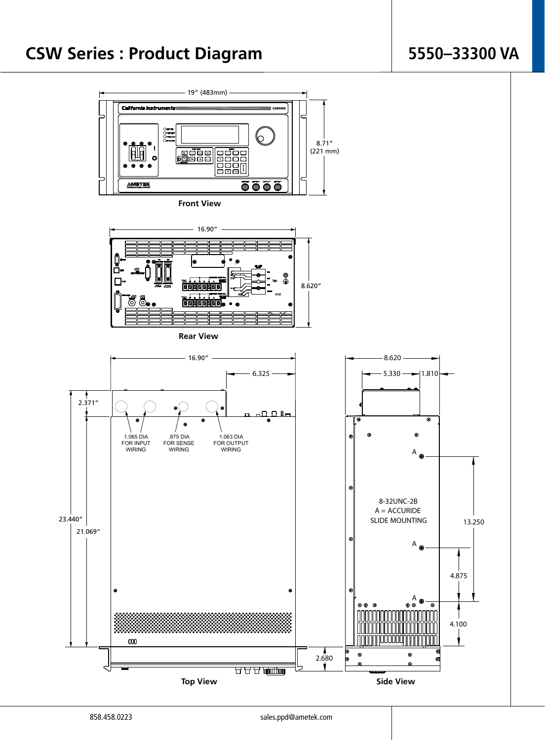## **5550–33300 VA**





**Rear View**